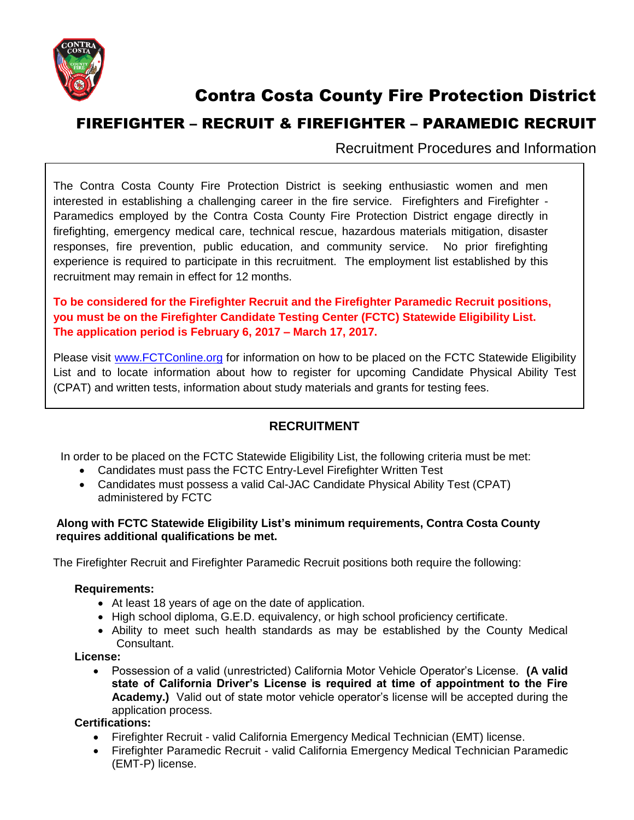

# Contra Costa County Fire Protection District

## FIREFIGHTER – RECRUIT & FIREFIGHTER – PARAMEDIC RECRUIT

Recruitment Procedures and Information

The Contra Costa County Fire Protection District is seeking enthusiastic women and men interested in establishing a challenging career in the fire service. Firefighters and Firefighter - Paramedics employed by the Contra Costa County Fire Protection District engage directly in firefighting, emergency medical care, technical rescue, hazardous materials mitigation, disaster responses, fire prevention, public education, and community service. No prior firefighting experience is required to participate in this recruitment. The employment list established by this recruitment may remain in effect for 12 months.

### **To be considered for the Firefighter Recruit and the Firefighter Paramedic Recruit positions, you must be on the Firefighter Candidate Testing Center (FCTC) Statewide Eligibility List. The application period is February 6, 2017 – March 17, 2017.**

Please visit [www.FCTConline.org](http://www.fctconline.org/) for information on how to be placed on the FCTC Statewide Eligibility List and to locate information about how to register for upcoming Candidate Physical Ability Test (CPAT) and written tests, information about study materials and grants for testing fees.

## **RECRUITMENT**

In order to be placed on the FCTC Statewide Eligibility List, the following criteria must be met:

- Candidates must pass the FCTC Entry-Level Firefighter Written Test
- Candidates must possess a valid Cal-JAC Candidate Physical Ability Test (CPAT) administered by FCTC

#### **Along with FCTC Statewide Eligibility List's minimum requirements, Contra Costa County requires additional qualifications be met.**

The Firefighter Recruit and Firefighter Paramedic Recruit positions both require the following:

#### **Requirements:**

- At least 18 years of age on the date of application.
- High school diploma, G.E.D. equivalency, or high school proficiency certificate.
- Ability to meet such health standards as may be established by the County Medical Consultant.

#### **License:**

 Possession of a valid (unrestricted) California Motor Vehicle Operator's License. **(A valid state of California Driver's License is required at time of appointment to the Fire Academy.)** Valid out of state motor vehicle operator's license will be accepted during the application process.

#### **Certifications:**

- Firefighter Recruit valid California Emergency Medical Technician (EMT) license.
- Firefighter Paramedic Recruit valid California Emergency Medical Technician Paramedic (EMT-P) license.